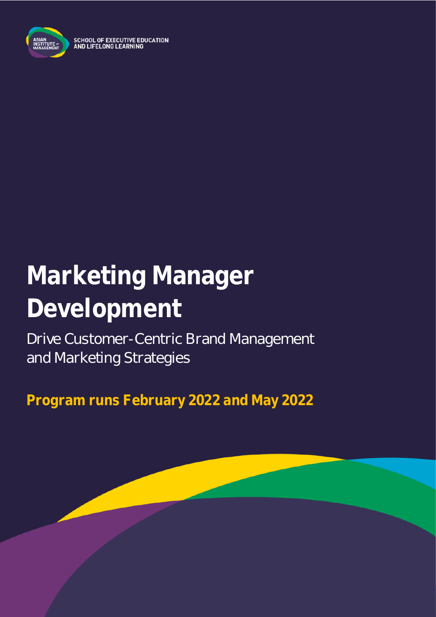

SCHOOL OF EXECUTIVE EDUCATION<br>AND LIFELONG LEARNING

# **Marketing Manager Development**

Drive Customer-Centric Brand Management and Marketing Strategies

**Program runs February 2022 and May 2022**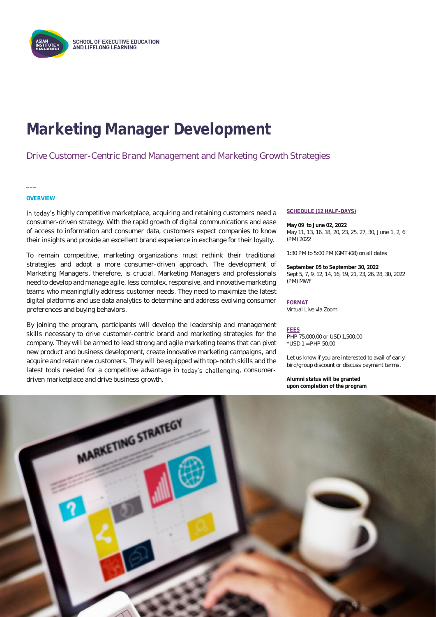

## **Marketing Manager Development**

#### Drive Customer-Centric Brand Management and Marketing Growth Strategies

#### **OVERVIEW**

**\_\_\_**

In today's highly competitive marketplace, acquiring and retaining customers need a consumer-driven strategy. With the rapid growth of digital communications and ease of access to information and consumer data, customers expect companies to know their insights and provide an excellent brand experience in exchange for their loyalty.

To remain competitive, marketing organizations must rethink their traditional strategies and adopt a more consumer-driven approach. The development of Marketing Managers, therefore, is crucial. Marketing Managers and professionals need to develop and manage agile, less complex, responsive, and innovative marketing teams who meaningfully address customer needs. They need to maximize the latest digital platforms and use data analytics to determine and address evolving consumer preferences and buying behaviors.

By joining the program, participants will develop the leadership and management skills necessary to drive customer-centric brand and marketing strategies for the company. They will be armed to lead strong and agile marketing teams that can pivot new product and business development, create innovative marketing campaigns, and acquire and retain new customers. They will be equipped with top-notch skills and the latest tools needed for a competitive advantage in today's challenging, consumerdriven marketplace and drive business growth.

#### **SCHEDULE (12 HALF-DAYS)**

**May 09 to June 02, 2022** May 11, 13, 16, 18, 20, 23, 25, 27, 30, June 1, 2, 6 (PM) 2022

1:30 PM to 5:00 PM (GMT+08) on all dates

**September 05 to September 30, 2022** Sept 5, 7, 9, 12, 14, 16, 19, 21, 23, 26, 28, 30, 2022 (PM) MWF

#### **FORMAT**

Virtual Live via Zoom

#### **FEES**

PHP 75,000.00 or USD 1,500.00 \*USD 1 = PHP 50.00

Let us know if you are interested to avail of early bird/group discount or discuss payment terms.

**Alumni status will be granted upon completion of the program**

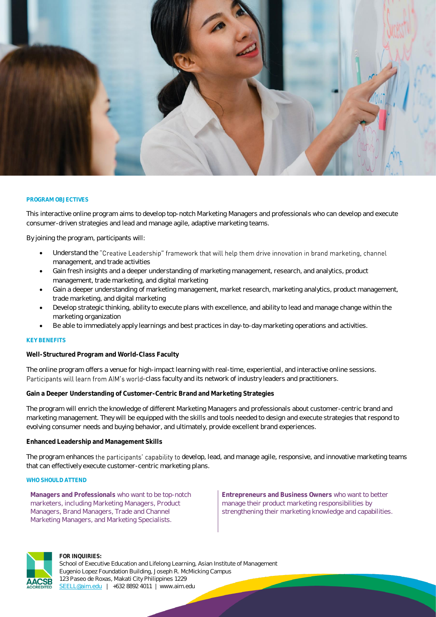

#### **PROGRAM OBJECTIVES**

This interactive online program aims to develop top-notch Marketing Managers and professionals who can develop and execute consumer-driven strategies and lead and manage agile, adaptive marketing teams.

By joining the program, participants will:

- Understand the "Creative Leadership" framework that will help them drive innovation in brand marketing, channel management, and trade activities
- Gain fresh insights and a deeper understanding of marketing management, research, and analytics, product management, trade marketing, and digital marketing
- Gain a deeper understanding of marketing management, market research, marketing analytics, product management, trade marketing, and digital marketing
- Develop strategic thinking, ability to execute plans with excellence, and ability to lead and manage change within the marketing organization
- Be able to immediately apply learnings and best practices in day-to-day marketing operations and activities.

#### **KEY BENEFITS**

**Well-Structured Program and World-Class Faculty**

The online program offers a venue for high-impact learning with real-time, experiential, and interactive online sessions. Participants will learn from AIM's world-class faculty and its network of industry leaders and practitioners.

**Gain a Deeper Understanding of Customer-Centric Brand and Marketing Strategies**

The program will enrich the knowledge of different Marketing Managers and professionals about customer-centric brand and marketing management. They will be equipped with the skills and tools needed to design and execute strategies that respond to evolving consumer needs and buying behavior, and ultimately, provide excellent brand experiences.

#### **Enhanced Leadership and Management Skills**

The program enhances the participants' capability to develop, lead, and manage agile, responsive, and innovative marketing teams that can effectively execute customer-centric marketing plans.

#### **WHO SHOULD ATTEND**

**Managers and Professionals** who want to be top-notch marketers, including Marketing Managers, Product Managers, Brand Managers, Trade and Channel Marketing Managers, and Marketing Specialists.

**Entrepreneurs and Business Owners** who want to better manage their product marketing responsibilities by strengthening their marketing knowledge and capabilities.



#### **FOR INQUIRIES:**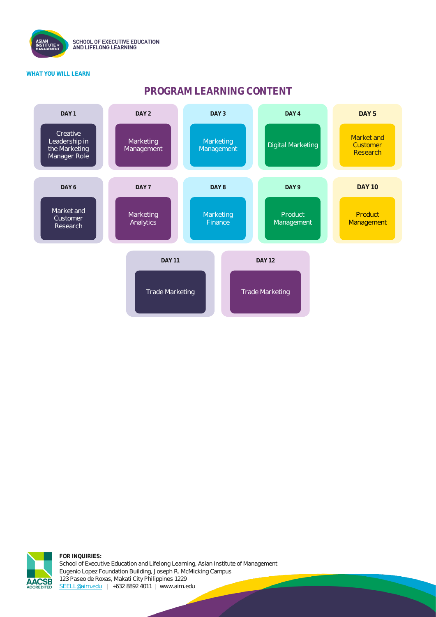

#### **WHAT YOU WILL LEARN**

### **PROGRAM LEARNING CONTENT**



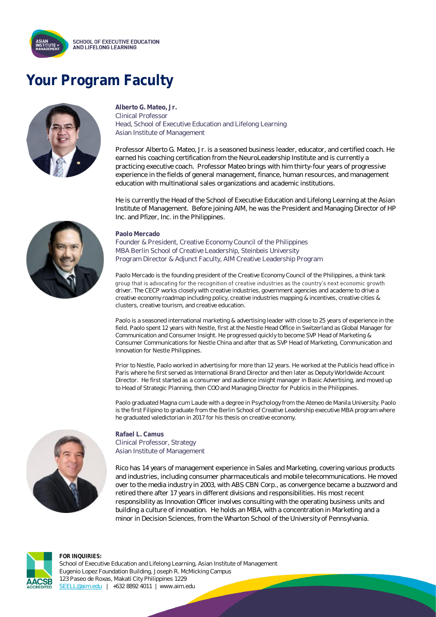

### **Your Program Faculty**



**Alberto G. Mateo, Jr.** Clinical Professor Head, School of Executive Education and Lifelong Learning Asian Institute of Management

Professor Alberto G. Mateo, Jr. is a seasoned business leader, educator, and certified coach. He earned his coaching certification from the NeuroLeadership Institute and is currently a practicing executive coach. Professor Mateo brings with him thirty-four years of progressive experience in the fields of general management, finance, human resources, and management education with multinational sales organizations and academic institutions.

He is currently the Head of the School of Executive Education and Lifelong Learning at the Asian Institute of Management. Before joining AIM, he was the President and Managing Director of HP Inc. and Pfizer, Inc. in the Philippines.



Founder & President, Creative Economy Council of the Philippines MBA Berlin School of Creative Leadership, Steinbeis University Program Director & Adjunct Faculty, AIM Creative Leadership Program

Paolo Mercado is the founding president of the Creative Economy Council of the Philippines, a think tank group that is advocating for the recognition of creative industries as the country's next economic growth driver. The CECP works closely with creative industries, government agencies and academe to drive a creative economy roadmap including policy, creative industries mapping & incentives, creative cities & clusters, creative tourism, and creative education.

Paolo is a seasoned international marketing & advertising leader with close to 25 years of experience in the field. Paolo spent 12 years with Nestle, first at the Nestle Head Office in Switzerland as Global Manager for Communication and Consumer Insight. He progressed quickly to become SVP Head of Marketing & Consumer Communications for Nestle China and after that as SVP Head of Marketing, Communication and Innovation for Nestle Philippines.

Prior to Nestle, Paolo worked in advertising for more than 12 years. He worked at the Publicis head office in Paris where he first served as International Brand Director and then later as Deputy Worldwide Account Director. He first started as a consumer and audience insight manager in Basic Advertising, and moved up to Head of Strategic Planning, then COO and Managing Director for Publicis in the Philippines.

Paolo graduated Magna cum Laude with a degree in Psychology from the Ateneo de Manila University. Paolo is the first Filipino to graduate from the Berlin School of Creative Leadership executive MBA program where he graduated valedictorian in 2017 for his thesis on creative economy.



**Rafael L. Camus** Clinical Professor, Strategy Asian Institute of Management

Rico has 14 years of management experience in Sales and Marketing, covering various products and industries, including consumer pharmaceuticals and mobile telecommunications. He moved over to the media industry in 2003, with ABS CBN Corp., as convergence became a buzzword and retired there after 17 years in different divisions and responsibilities. His most recent responsibility as Innovation Officer involves consulting with the operating business units and building a culture of innovation. He holds an MBA, with a concentration in Marketing and a minor in Decision Sciences, from the Wharton School of the University of Pennsylvania.



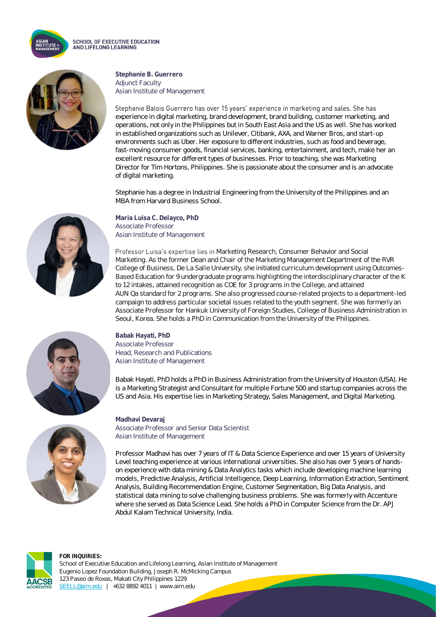

**SCHOOL OF EXECUTIVE EDUCATION** AND LIFELONG LEARNING



**Stephanie B. Guerrero** Adjunct Faculty Asian Institute of Management

Stephanie Balois Guerrero has over 15 years' experience in marketing and sales. She has experience in digital marketing, brand development, brand building, customer marketing, and operations, not only in the Philippines but in South East Asia and the US as well. She has worked in established organizations such as Unilever, Citibank, AXA, and Warner Bros, and start-up environments such as Uber. Her exposure to different industries, such as food and beverage, fast-moving consumer goods, financial services, banking, entertainment, and tech, make her an excellent resource for different types of businesses. Prior to teaching, she was Marketing Director for Tim Hortons, Philippines. She is passionate about the consumer and is an advocate of digital marketing.

Stephanie has a degree in Industrial Engineering from the University of the Philippines and an MBA from Harvard Business School.

**Maria Luisa C. Delayco, PhD** Associate Professor Asian Institute of Management

Professor Luisa's expertise lies in Marketing Research, Consumer Behavior and Social Marketing. As the former Dean and Chair of the Marketing Management Department of the RVR College of Business, De La Salle University, she initiated curriculum development using Outcomes-Based Education for 9 undergraduate programs highlighting the interdisciplinary character of the K to 12 intakes, attained recognition as COE for 3 programs in the College, and attained AUN Qa standard for 2 programs. She also progressed course-related projects to a department-led campaign to address particular societal issues related to the youth segment. She was formerly an Associate Professor for Hankuk University of Foreign Studies, College of Business Administration in Seoul, Korea. She holds a PhD in Communication from the University of the Philippines.



**Babak Hayati, PhD** Associate Professor Head, Research and Publications Asian Institute of Management

Babak Hayati, PhD holds a PhD in Business Administration from the University of Houston (USA). He is a Marketing Strategist and Consultant for multiple Fortune 500 and startup companies across the US and Asia. His expertise lies in Marketing Strategy, Sales Management, and Digital Marketing.



**Madhavi Devaraj** Associate Professor and Senior Data Scientist Asian Institute of Management

Professor Madhavi has over 7 years of IT & Data Science Experience and over 15 years of University Level teaching experience at various international universities. She also has over 5 years of handson experience with data mining & Data Analytics tasks which include developing machine learning models, Predictive Analysis, Artificial Intelligence, Deep Learning, Information Extraction, Sentiment Analysis, Building Recommendation Engine, Customer Segmentation, Big Data Analysis, and statistical data mining to solve challenging business problems. She was formerly with Accenture where she served as Data Science Lead. She holds a PhD in Computer Science from the Dr. APJ Abdul Kalam Technical University, India.

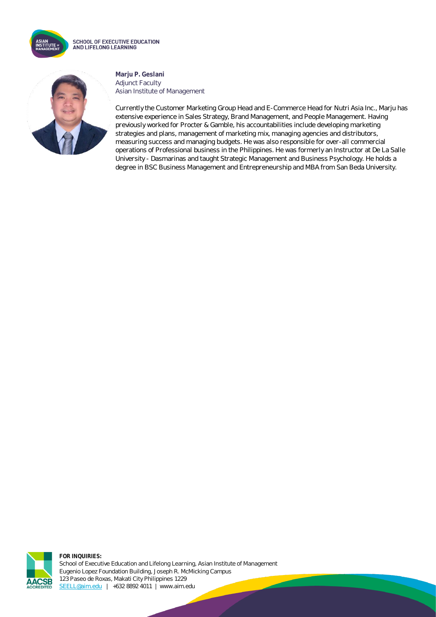



**Marju P. Geslani** Adjunct Faculty Asian Institute of Management

Currently the Customer Marketing Group Head and E-Commerce Head for Nutri Asia Inc., Marju has extensive experience in Sales Strategy, Brand Management, and People Management. Having previously worked for Procter & Gamble, his accountabilities include developing marketing strategies and plans, management of marketing mix, managing agencies and distributors, measuring success and managing budgets. He was also responsible for over-all commercial operations of Professional business in the Philippines. He was formerly an Instructor at De La Salle University - Dasmarinas and taught Strategic Management and Business Psychology. He holds a degree in BSC Business Management and Entrepreneurship and MBA from San Beda University.